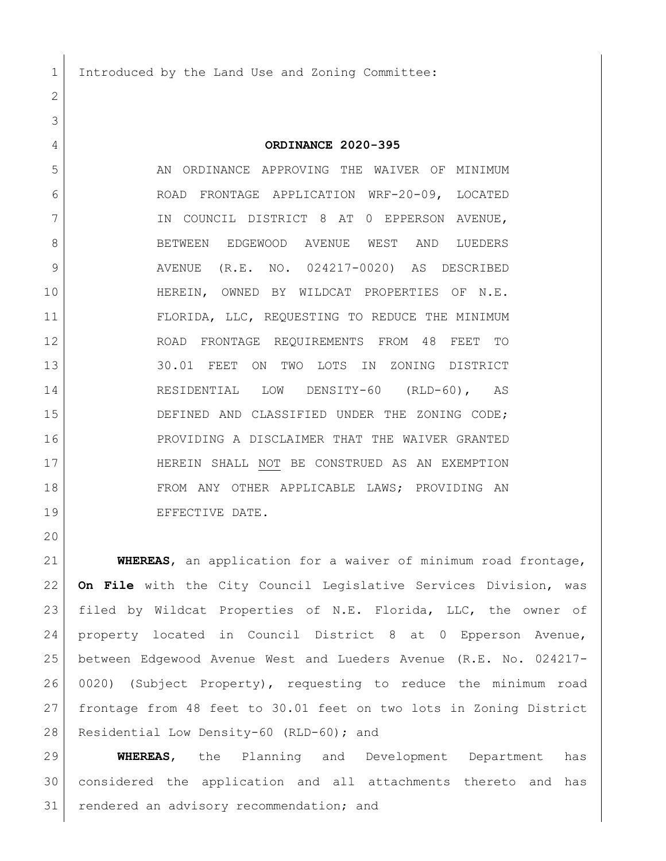1 Introduced by the Land Use and Zoning Committee:

## **ORDINANCE 2020-395**

5 AN ORDINANCE APPROVING THE WAIVER OF MINIMUM ROAD FRONTAGE APPLICATION WRF-20-09, LOCATED 7 IN COUNCIL DISTRICT 8 AT 0 EPPERSON AVENUE, 8 BETWEEN EDGEWOOD AVENUE WEST AND LUEDERS 9 AVENUE (R.E. NO. 024217-0020) AS DESCRIBED HEREIN, OWNED BY WILDCAT PROPERTIES OF N.E. 11 FLORIDA, LLC, REQUESTING TO REDUCE THE MINIMUM ROAD FRONTAGE REQUIREMENTS FROM 48 FEET TO 13 30.01 FEET ON TWO LOTS IN ZONING DISTRICT RESIDENTIAL LOW DENSITY-60 (RLD-60), AS 15 DEFINED AND CLASSIFIED UNDER THE ZONING CODE; PROVIDING A DISCLAIMER THAT THE WAIVER GRANTED HEREIN SHALL NOT BE CONSTRUED AS AN EXEMPTION FROM ANY OTHER APPLICABLE LAWS; PROVIDING AN 19 EFFECTIVE DATE.

 **WHEREAS**, an application for a waiver of minimum road frontage, **On File** with the City Council Legislative Services Division, was filed by Wildcat Properties of N.E. Florida, LLC, the owner of property located in Council District 8 at 0 Epperson Avenue, between Edgewood Avenue West and Lueders Avenue (R.E. No. 024217- 0020) (Subject Property), requesting to reduce the minimum road frontage from 48 feet to 30.01 feet on two lots in Zoning District 28 Residential Low Density-60 (RLD-60); and

 **WHEREAS**, the Planning and Development Department has considered the application and all attachments thereto and has 31 | rendered an advisory recommendation; and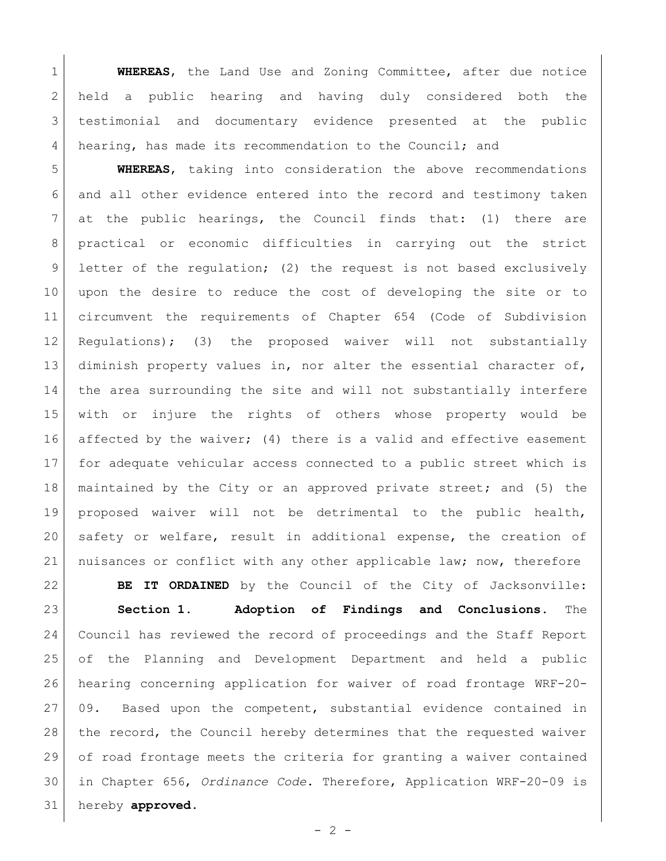**WHEREAS**, the Land Use and Zoning Committee, after due notice held a public hearing and having duly considered both the testimonial and documentary evidence presented at the public hearing, has made its recommendation to the Council; and

 **WHEREAS**, taking into consideration the above recommendations and all other evidence entered into the record and testimony taken at the public hearings, the Council finds that: (1) there are practical or economic difficulties in carrying out the strict 9 letter of the regulation; (2) the request is not based exclusively upon the desire to reduce the cost of developing the site or to circumvent the requirements of Chapter 654 (Code of Subdivision Regulations); (3) the proposed waiver will not substantially 13 diminish property values in, nor alter the essential character of, the area surrounding the site and will not substantially interfere with or injure the rights of others whose property would be 16 affected by the waiver; (4) there is a valid and effective easement for adequate vehicular access connected to a public street which is maintained by the City or an approved private street; and (5) the proposed waiver will not be detrimental to the public health, safety or welfare, result in additional expense, the creation of nuisances or conflict with any other applicable law; now, therefore

 **BE IT ORDAINED** by the Council of the City of Jacksonville: **Section 1. Adoption of Findings and Conclusions.** The Council has reviewed the record of proceedings and the Staff Report of the Planning and Development Department and held a public hearing concerning application for waiver of road frontage WRF-20- 09. Based upon the competent, substantial evidence contained in 28 | the record, the Council hereby determines that the requested waiver of road frontage meets the criteria for granting a waiver contained in Chapter 656, *Ordinance Code*. Therefore, Application WRF-20-09 is hereby **approved**.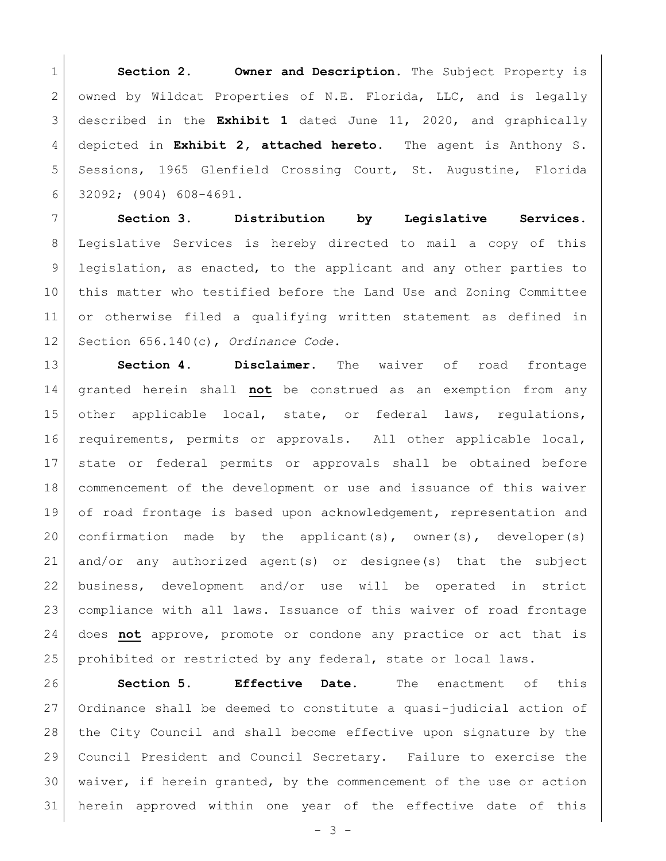**Section 2. Owner and Description.** The Subject Property is owned by Wildcat Properties of N.E. Florida, LLC, and is legally described in the **Exhibit 1** dated June 11, 2020, and graphically depicted in **Exhibit 2, attached hereto**. The agent is Anthony S. Sessions, 1965 Glenfield Crossing Court, St. Augustine, Florida 32092; (904) 608-4691.

 **Section 3. Distribution by Legislative Services.**  Legislative Services is hereby directed to mail a copy of this 9 | legislation, as enacted, to the applicant and any other parties to this matter who testified before the Land Use and Zoning Committee or otherwise filed a qualifying written statement as defined in Section 656.140(c), *Ordinance Code*.

 **Section 4. Disclaimer.** The waiver of road frontage granted herein shall **not** be construed as an exemption from any 15 other applicable local, state, or federal laws, regulations, requirements, permits or approvals. All other applicable local, state or federal permits or approvals shall be obtained before commencement of the development or use and issuance of this waiver 19 of road frontage is based upon acknowledgement, representation and 20 confirmation made by the applicant(s), owner(s), developer(s) and/or any authorized agent(s) or designee(s) that the subject business, development and/or use will be operated in strict compliance with all laws. Issuance of this waiver of road frontage does **not** approve, promote or condone any practice or act that is 25 prohibited or restricted by any federal, state or local laws.

 **Section 5. Effective Date.** The enactment of this Ordinance shall be deemed to constitute a quasi-judicial action of the City Council and shall become effective upon signature by the Council President and Council Secretary. Failure to exercise the waiver, if herein granted, by the commencement of the use or action herein approved within one year of the effective date of this

 $- 3 -$